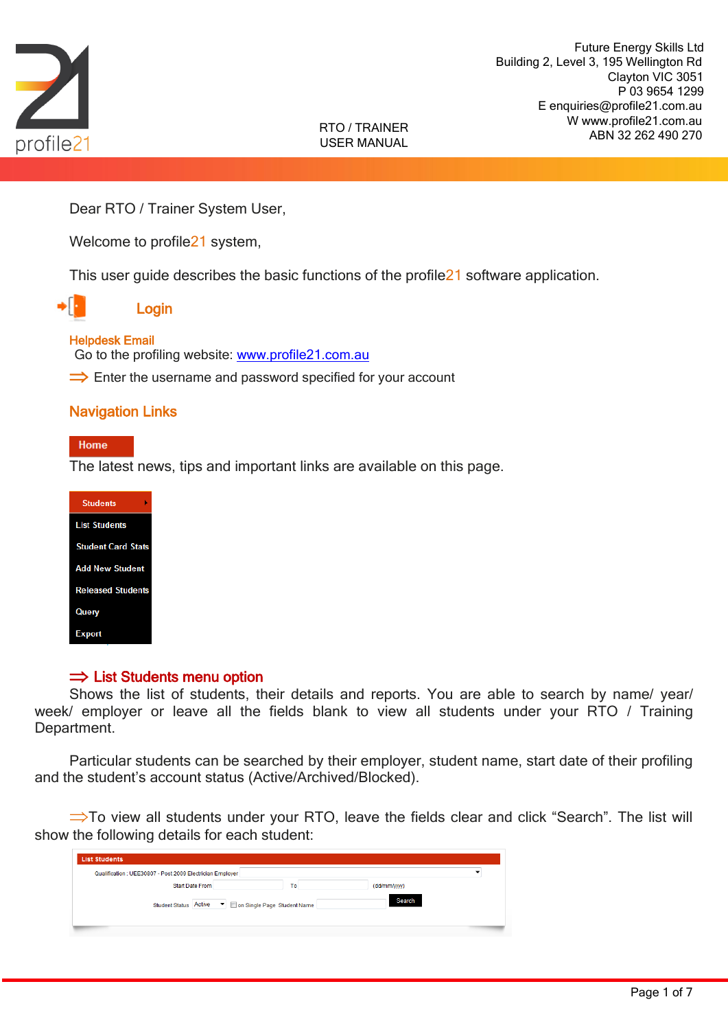

Dear RTO / Trainer System User,

Welcome to profile<sup>21</sup> system,

This user guide describes the basic functions of the profile21 software application.



## Login

### Helpdesk Email

Go to the profiling website: [www.profile21.com.au](http://www.profile21.com.au/)

 $\Rightarrow$  Enter the username and password specified for your account

## Navigation Links

#### Home

The latest news, tips and important links are available on this page.

| <b>Students</b>           |
|---------------------------|
| <b>List Students</b>      |
| <b>Student Card Stats</b> |
| <b>Add New Student</b>    |
| <b>Released Students</b>  |
| Query                     |
| <b>Export</b>             |

## $\Rightarrow$  List Students menu option

Shows the list of students, their details and reports. You are able to search by name/ year/ week/ employer or leave all the fields blank to view all students under your RTO / Training Department.

Particular students can be searched by their employer, student name, start date of their profiling and the student's account status (Active/Archived/Blocked).

 $\Rightarrow$ To view all students under your RTO, leave the fields clear and click "Search". The list will show the following details for each student:

| <b>List Students</b>                                      |    |              |  |
|-----------------------------------------------------------|----|--------------|--|
| Qualification : UEE30807 - Post 2009 Electrician Employer |    |              |  |
| <b>Start Date From</b>                                    | To | (dd/mm/yyyy) |  |
| Student Status Active ▼ ■ on Single Page Student Name     |    | Search       |  |
|                                                           |    |              |  |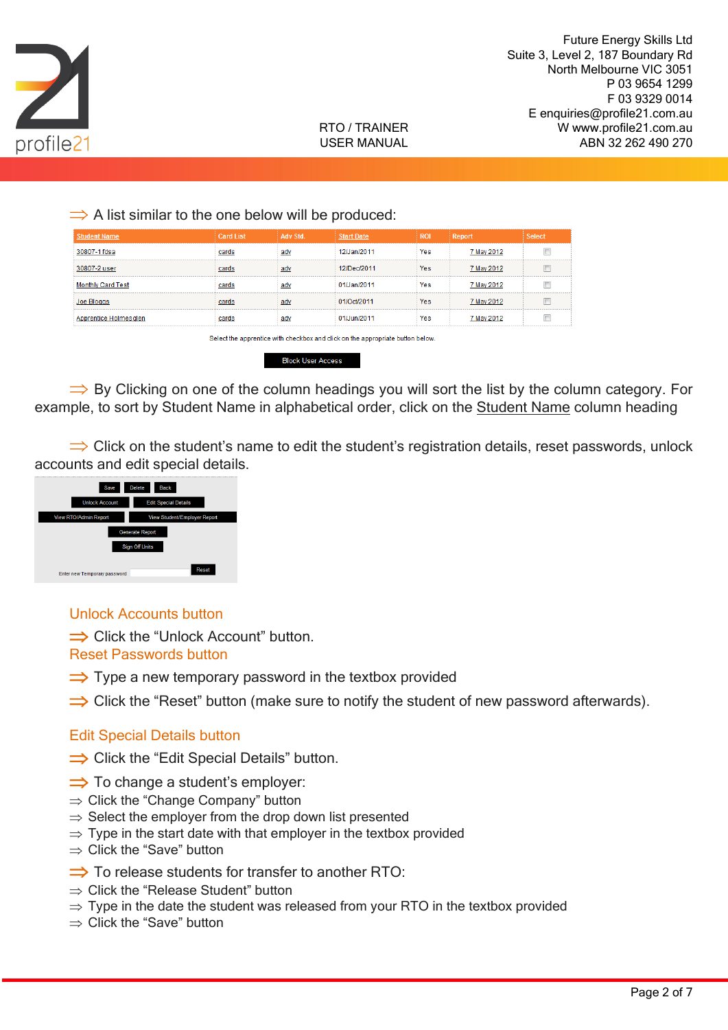

 $\Rightarrow$  A list similar to the one below will be produced:

| <b>Student Name</b>      | <b>Card List</b> | Adv Std. | <b>Start Date</b> | <b>ROI</b> | <b>Report</b> | <b>Select</b> |
|--------------------------|------------------|----------|-------------------|------------|---------------|---------------|
| 30807-1 fdsa             | cards            | adv      | 12/Jan/2011       | Yes        | 7 May 2012    |               |
| 30807-2 user             | cards            | adv      | 12/Dec/2011       | Yes        | 7 May 2012    |               |
| <b>Monthly Card Test</b> | cards            | adv      | 01/Jan/2011       | Yes        | 7 May 2012    |               |
| Joe Bloggs               | cards            | adv      | 01/Oct/2011       | <b>Yes</b> | 7 May 2012    |               |
| Apprentice Holmesglen    | cards            | adv      | 01/Jun/2011       | Yes        | 7 May 2012    |               |
|                          |                  |          |                   |            |               |               |

Select the apprentice with checkbox and click on the appropriate button below

**Block User Access** 

 $\Rightarrow$  By Clicking on one of the column headings you will sort the list by the column category. For example, to sort by Student Name in alphabetical order, click on the Student Name column heading

 $\Rightarrow$  Click on the student's name to edit the student's registration details, reset passwords, unlock accounts and edit special details.



Unlock Accounts button

 $\Rightarrow$  Click the "Unlock Account" button.

Reset Passwords button

- $\Rightarrow$  Type a new temporary password in the textbox provided
- $\Rightarrow$  Click the "Reset" button (make sure to notify the student of new password afterwards).

## Edit Special Details button

- $\Rightarrow$  Click the "Edit Special Details" button.
- $\Rightarrow$  To change a student's employer:
- $\Rightarrow$  Click the "Change Company" button
- $\Rightarrow$  Select the employer from the drop down list presented
- $\Rightarrow$  Type in the start date with that employer in the textbox provided
- $\Rightarrow$  Click the "Save" button
- $\Rightarrow$  To release students for transfer to another RTO:
- $\Rightarrow$  Click the "Release Student" button
- $\Rightarrow$  Type in the date the student was released from your RTO in the textbox provided
- $\Rightarrow$  Click the "Save" button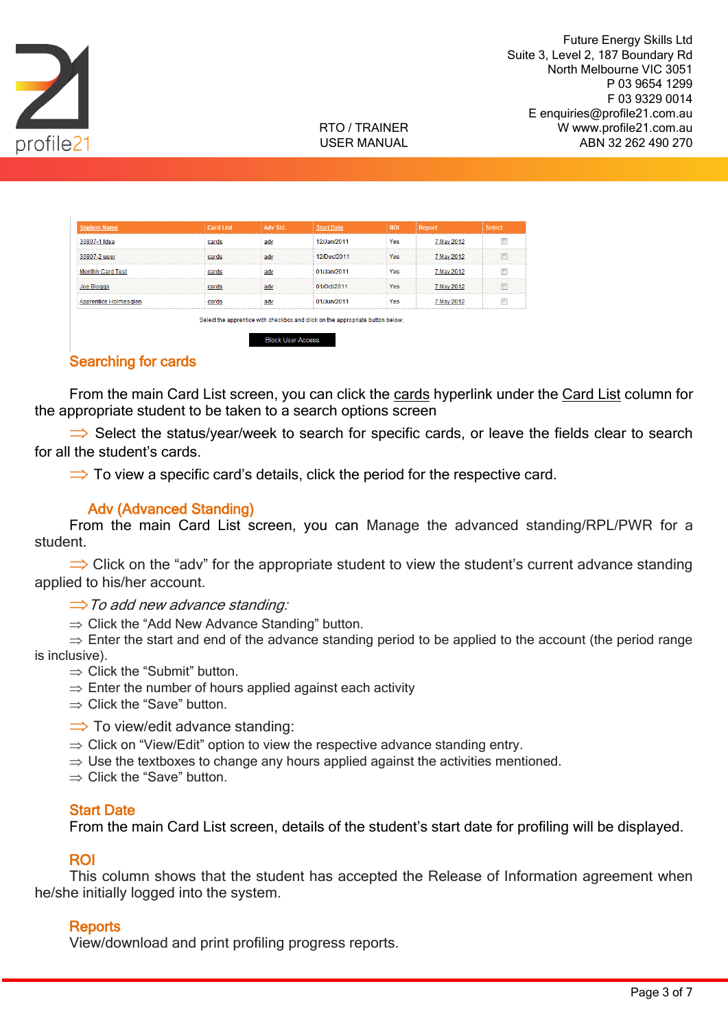



| <b>Student Name</b>      | <b>Card List</b> | Adv Std. | <b>Start Date</b>                                                                                                | <b>ROI</b> | Report     | <b>Select</b> |
|--------------------------|------------------|----------|------------------------------------------------------------------------------------------------------------------|------------|------------|---------------|
| 30807-1 fdsa             | cards            | adv      | 12/Jan/2011                                                                                                      | Yes        | 7 May 2012 |               |
| 30807-2 user             | cards            | adv      | 12/Dec/2011                                                                                                      | Yes        | 7 May 2012 |               |
| <b>Monthly Card Test</b> | cards            | adv      | 01/Jan/2011                                                                                                      | Yes        | 7 May 2012 |               |
| Joe Bloggs               | cards            | adv      | 01/Oct/2011                                                                                                      | Yes        | 7 May 2012 |               |
| Apprentice Holmesglen    | cards            | adv      | 01/Jun/2011                                                                                                      | Yes        | 7 May 2012 |               |
|                          |                  |          | The book they are concentrated with the contribution and affects are they are concentrated bentless that because |            |            |               |

**Block User Access** 

## Searching for cards

From the main Card List screen, you can click the cards hyperlink under the Card List column for the appropriate student to be taken to a search options screen

 $\Rightarrow$  Select the status/year/week to search for specific cards, or leave the fields clear to search for all the student's cards.

 $\Rightarrow$  To view a specific card's details, click the period for the respective card.

## Adv (Advanced Standing)

From the main Card List screen, you can Manage the advanced standing/RPL/PWR for a student.

 $\Rightarrow$  Click on the "adv" for the appropriate student to view the student's current advance standing applied to his/her account.

 $\Rightarrow$  To add new advance standing:

 $\Rightarrow$  Click the "Add New Advance Standing" button.

 $\Rightarrow$  Enter the start and end of the advance standing period to be applied to the account (the period range is inclusive).

- $\Rightarrow$  Click the "Submit" button.
- $\Rightarrow$  Enter the number of hours applied against each activity
- $\Rightarrow$  Click the "Save" button.
- $\Rightarrow$  To view/edit advance standing:
- $\Rightarrow$  Click on "View/Edit" option to view the respective advance standing entry.
- $\Rightarrow$  Use the textboxes to change any hours applied against the activities mentioned.
- $\Rightarrow$  Click the "Save" button.

### Start Date

From the main Card List screen, details of the student's start date for profiling will be displayed.

### ROI

This column shows that the student has accepted the Release of Information agreement when he/she initially logged into the system.

### **Reports**

View/download and print profiling progress reports.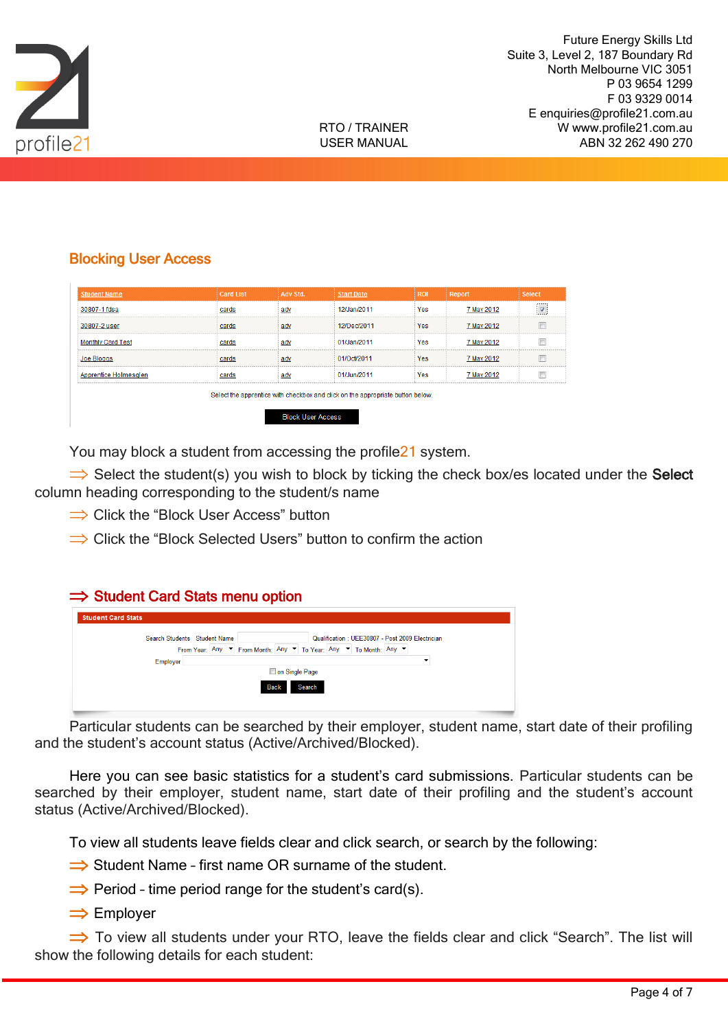



# Blocking User Access

| <b>Student Name</b>                                                            | <b>Card List</b> | Adv Std. | <b>Start Date</b> | <b>ROI</b> | Report     | <b>Select</b> |
|--------------------------------------------------------------------------------|------------------|----------|-------------------|------------|------------|---------------|
| 30807-1 fdsa                                                                   | cards            | adv      | 12/Jan/2011       | <b>Yes</b> | 7 May 2012 | $\sqrt{2}$    |
| 30807-2 user                                                                   | cards            | adv      | 12/Dec/2011       | <b>Yes</b> | 7 May 2012 |               |
| <b>Monthly Card Test</b>                                                       | cards            | adv      | 01/Jan/2011       | <b>Yes</b> | 7 May 2012 | П             |
| <b>Joe Bloggs</b>                                                              | cards            | adv      | 01/Oct/2011       | <b>Yes</b> | 7 May 2012 | m             |
| Apprentice Holmesglen                                                          | cards            | adv      | 01/Jun/2011       | <b>Yes</b> | 7 May 2012 | П             |
| Select the apprentice with checkbox and click on the appropriate button below. |                  |          |                   |            |            |               |
| <b>Block Liser Access</b>                                                      |                  |          |                   |            |            |               |

You may block a student from accessing the profile21 system.

 $\Rightarrow$  Select the student(s) you wish to block by ticking the check box/es located under the Select column heading corresponding to the student/s name

- $\Rightarrow$  Click the "Block User Access" button
- $\Rightarrow$  Click the "Block Selected Users" button to confirm the action

| <b>Student Card Stats</b> |                                                                                                                                               |
|---------------------------|-----------------------------------------------------------------------------------------------------------------------------------------------|
|                           | Search Students Student Name<br>Qualification: UEE30807 - Post 2009 Electrician                                                               |
|                           | From Year: Any $\blacktriangledown$ From Month: Any $\blacktriangledown$ To Year: Any $\blacktriangledown$ To Month: Any $\blacktriangledown$ |
| Employer                  |                                                                                                                                               |
|                           | on Single Page                                                                                                                                |
|                           | <b>Search</b><br><b>Back</b>                                                                                                                  |

Particular students can be searched by their employer, student name, start date of their profiling and the student's account status (Active/Archived/Blocked).

Here you can see basic statistics for a student's card submissions. Particular students can be searched by their employer, student name, start date of their profiling and the student's account status (Active/Archived/Blocked).

To view all students leave fields clear and click search, or search by the following:

- $\Rightarrow$  Student Name first name OR surname of the student.
- $\Rightarrow$  Period time period range for the student's card(s).
- $\Rightarrow$  Employer

 $\Rightarrow$  To view all students under your RTO, leave the fields clear and click "Search". The list will show the following details for each student: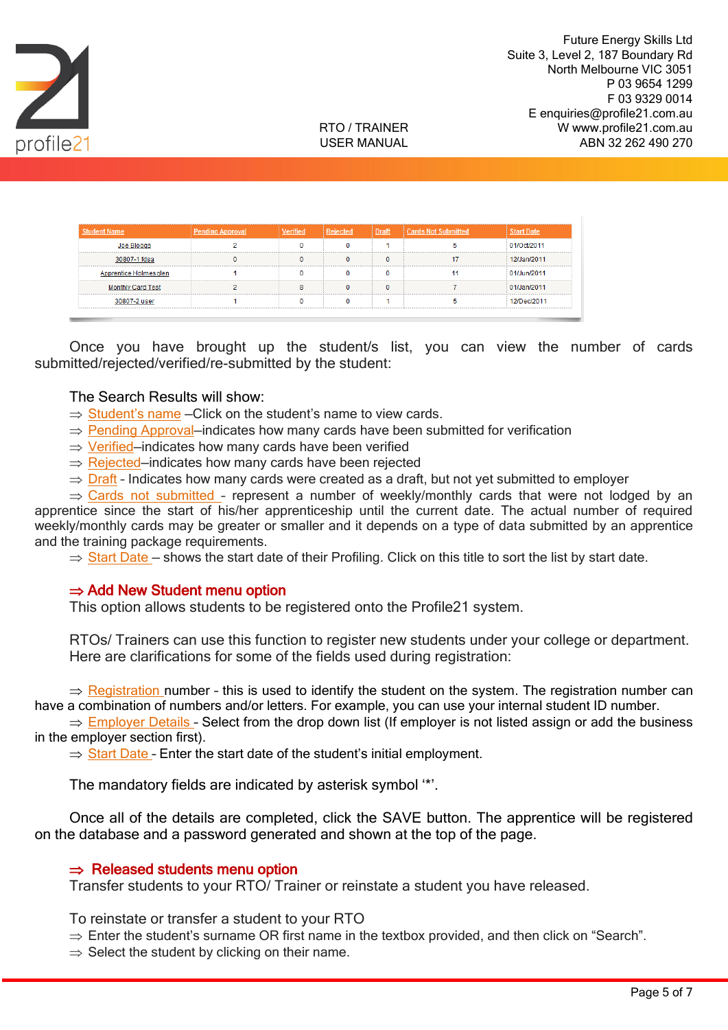



| <b>Student Name</b>      | <b>Pending Approval</b> | 'erified | <b>Rejected</b> | Draft | <b>Cards Not Submitted</b> |             |
|--------------------------|-------------------------|----------|-----------------|-------|----------------------------|-------------|
| Joe Bloggs               |                         |          |                 |       |                            | 01/Oct/2011 |
| 30807-1 fdsa             |                         |          |                 | 0     |                            | 12/Jan/2011 |
| Apprentice Holmesglen    |                         |          |                 |       |                            | 01/Jun/2011 |
| <b>Monthly Card Test</b> |                         |          |                 | o     |                            | 01/Jan/2011 |
| 30807-2 user             |                         |          |                 |       |                            | 12/Dec/2011 |

Once you have brought up the student/s list, you can view the number of cards submitted/rejected/verified/re-submitted by the student:

The Search Results will show:

- $\Rightarrow$  Student's name Click on the student's name to view cards.
- $\Rightarrow$  Pending Approval–indicates how many cards have been submitted for verification
- $\Rightarrow$  Verified–indicates how many cards have been verified
- $\Rightarrow$  Rejected–indicates how many cards have been rejected
- $\Rightarrow$  Draft Indicates how many cards were created as a draft, but not yet submitted to employer

 $\Rightarrow$  Cards not submitted - represent a number of weekly/monthly cards that were not lodged by an apprentice since the start of his/her apprenticeship until the current date. The actual number of required weekly/monthly cards may be greater or smaller and it depends on a type of data submitted by an apprentice and the training package requirements.

 $\Rightarrow$  Start Date – shows the start date of their Profiling. Click on this title to sort the list by start date.

### $\Rightarrow$  Add New Student menu option

This option allows students to be registered onto the Profile21 system.

RTOs/ Trainers can use this function to register new students under your college or department. Here are clarifications for some of the fields used during registration:

 $\Rightarrow$  Registration number - this is used to identify the student on the system. The registration number can have a combination of numbers and/or letters. For example, you can use your internal student ID number.

 $\Rightarrow$  Employer Details - Select from the drop down list (If employer is not listed assign or add the business in the employer section first).

 $\Rightarrow$  Start Date - Enter the start date of the student's initial employment.

The mandatory fields are indicated by asterisk symbol '\*'.

Once all of the details are completed, click the SAVE button. The apprentice will be registered on the database and a password generated and shown at the top of the page.

### $\Rightarrow$  Released students menu option

Transfer students to your RTO/ Trainer or reinstate a student you have released.

To reinstate or transfer a student to your RTO

- $\Rightarrow$  Enter the student's surname OR first name in the textbox provided, and then click on "Search".
- $\Rightarrow$  Select the student by clicking on their name.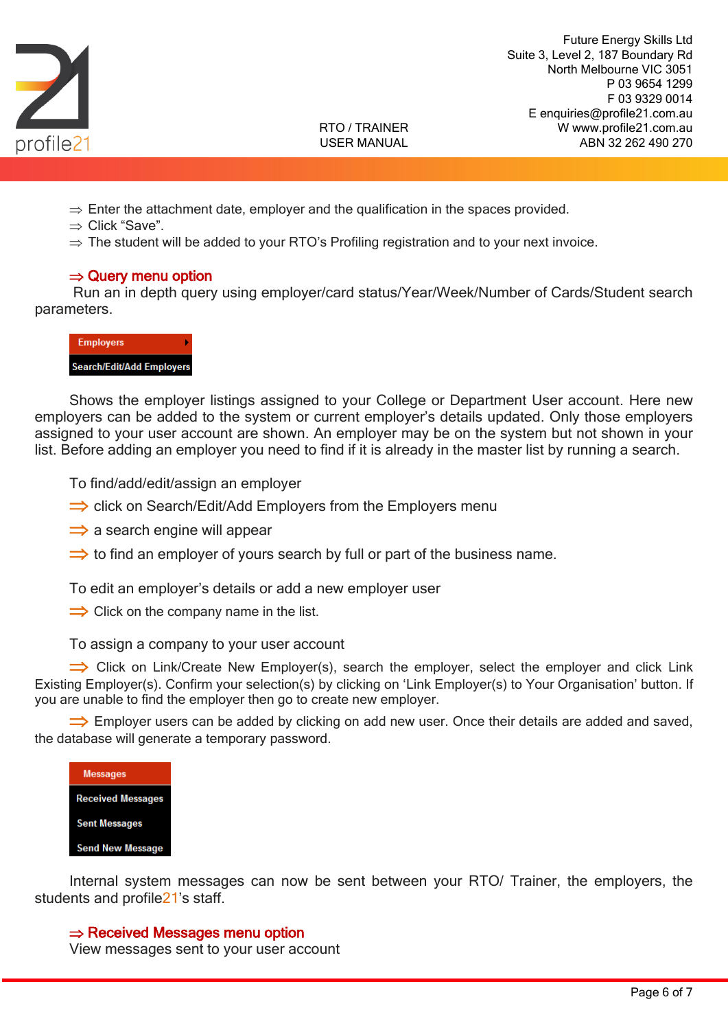

Future Energy Skills Ltd Suite 3, Level 2, 187 Boundary Rd North Melbourne VIC 3051 P 03 9654 1299 F 03 9329 0014 E enquiries@profile21.com.au W www.profile21.com.au ABN 32 262 490 270

#### RTO / TRAINER USER MANUAL

- $\Rightarrow$  Enter the attachment date, employer and the qualification in the spaces provided.
- $\Rightarrow$  Click "Save".
- $\Rightarrow$  The student will be added to your RTO's Profiling registration and to your next invoice.

### $\Rightarrow$  Query menu option

Run an in depth query using employer/card status/Year/Week/Number of Cards/Student search parameters.



Shows the employer listings assigned to your College or Department User account. Here new employers can be added to the system or current employer's details updated. Only those employers assigned to your user account are shown. An employer may be on the system but not shown in your list. Before adding an employer you need to find if it is already in the master list by running a search.

To find/add/edit/assign an employer

- $\Rightarrow$  click on Search/Edit/Add Employers from the Employers menu
- $\Rightarrow$  a search engine will appear
- $\Rightarrow$  to find an employer of yours search by full or part of the business name.

To edit an employer's details or add a new employer user

 $\Rightarrow$  Click on the company name in the list.

To assign a company to your user account

 $\Rightarrow$  Click on Link/Create New Employer(s), search the employer, select the employer and click Link Existing Employer(s). Confirm your selection(s) by clicking on 'Link Employer(s) to Your Organisation' button. If you are unable to find the employer then go to create new employer.

 $\Rightarrow$  Employer users can be added by clicking on add new user. Once their details are added and saved, the database will generate a temporary password.

| <b>Messages</b>          |
|--------------------------|
| <b>Received Messages</b> |
| <b>Sent Messages</b>     |
| <b>Send New Message</b>  |

Internal system messages can now be sent between your RTO/ Trainer, the employers, the students and profile21's staff.

### $\Rightarrow$  Received Messages menu option

View messages sent to your user account